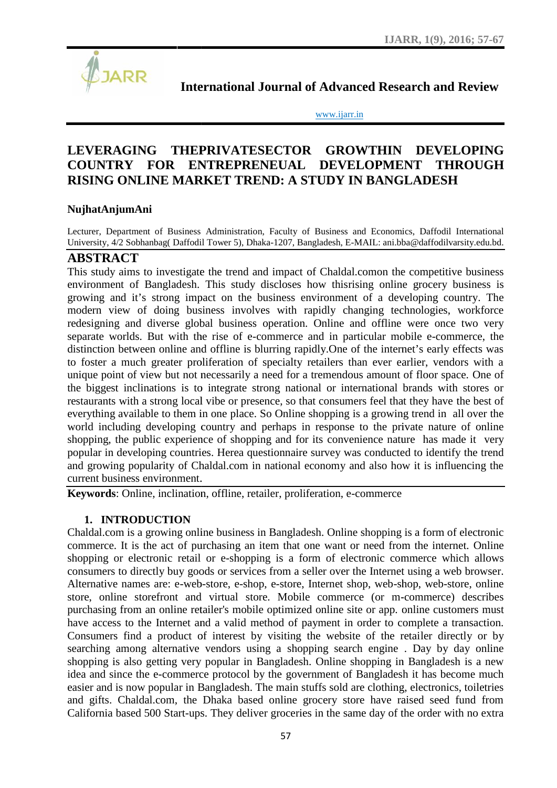

**International Journal of Advanced Research and Review Research** 

www.ijarr.in www.ijarr.in

## **LEVERAGING THEPRIVATESECTOR GROWTHIN DEVELOPING COUNTRY FOR ENTREPRENEUAL DEVELOPMENT THROUGH** LEVERAGING THEPRIVATESECTOR GROWTHIN DEVELOPING<br>COUNTRY FOR ENTREPRENEUAL DEVELOPMENT THROUGH<br>RISING ONLINE MARKET TREND: A STUDY IN BANGLADESH

#### **NujhatAnjumAni**

Lecturer, Department of Business Administration, Faculty of Business and Economics, Daffodil International Lecturer, Department of Business Administration, Faculty of Business and Economics, Daffodil International<br>University, 4/2 Sobhanbag( Daffodil Tower 5), Dhaka-1207, Bangladesh, E-MAIL: ani.bba@daffodilvarsity.edu.bd.

## **ABSTRACT**

This study aims to investigate the trend and impact of Chaldal.comon the competitive business environment of Bangladesh. This study discloses how thisrising online grocery business is growing and it's strong impact on the business environment of a developing country. The modern view of doing business involves with rapidly changing technologies, workforce redesigning and diverse global business operation. Online and offline were once two very separate worlds. But with the rise of e-commerce and in particular mobile e-commerce, the separate worlds. But with the rise of e-commerce and in particular mobile e-commerce, the distinction between online and offline is blurring rapidly. One of the internet's early effects was to foster a much greater proliferation of specialty retailers than ever earlier, vendors with a unique point of view but not necessarily a need for a tremendous amount of floor space. One of the biggest inclinations is to integrate strong national or international brands with stores or restaurants with a strong local vibe or presence, so that consumers feel that they have the best of everything available to them in one place. So Online shopping is a growing trend in all over the world including developing country and perhaps in response to the private nature of online shopping, the public experience of shopping and for its convenience nature has made it very popular in developing countries. Herea questionnaire survey was conducted to identify the trend and growing popularity of Chaldal.com in national economy and also how it is influencing the current business environment. to investigate the trend and impact of Chaldal.comon the competit Bangladesh. This study discloses how thisrising online grocery<br>is strong impact on the business environment of a developing of much greater proliferation of specialty retailers than ever earlier, vendors with a<br>to to view but not necessarily a need for a tremendous amount of floor space. One of<br>inclinations is to integrate strong national or inter in developing countries. Herea questionnaire survey was conducted to wing popularity of Chaldal.com in national economy and also how it business environment.<br> **rds**: Online, inclination, offline, retailer, proliferation, e

**Keywords**: Online, inclination, offline, retailer, proliferation, e-commerce

#### **1. INTRODUCTION**

Chaldal.com is a growing online business in Bangladesh. Online shopping is a form of electronic commerce. It is the act of purchasing an item that one want or need from the internet. Online shopping or electronic retail or e-shopping is a form of electronic commerce which allows consumers to directly buy goods or services from a seller over the Internet using a web browser. Alternative names are: e-web-store, e-shop, e-store, Internet shop, web-shop, web-store, online store, online storefront and virtual store. Mobile commerce (or m-commerce) describes purchasing from an online retailer's mobile optimized online site or app. online customers must have access to the Internet and a valid method of payment in order to complete a transaction. Consumers find a product of interest by visiting the website of the retailer directly or by searching among alternative vendors using a shopping search engine. Day by day online shopping is also getting very popular in Bangladesh. Online shopping in Bangladesh is a new shopping is also getting very popular in Bangladesh. Online shopping in Bangladesh is a new idea and since the e-commerce protocol by the government of Bangladesh it has become much easier and is now popular in Bangladesh. The main stuffs sold are clothing, electronics, toiletries and gifts. Chaldal.com, the Dhaka based online grocery store have raised seed fund from California based 500 Start-ups. They deliver groceries in the same day of the order with no extra growing online business in Bangladesh. Online shopping is a form of electronic<br>he act of purchasing an item that one want or need from the internet. Online<br>tronic retail or e-shopping is a form of electronic commerce which o directly buy goods or services from a seller over the Internet using a web browser.<br>names are: e-web-store, e-shop, e-store, Internet shop, web-shop, web-store, online<br>e storefront and virtual store. Mobile commerce (or Int of view but not necessarily a need for a tremendous amount of floor space. One of<br>the inclinations is to integrate strong national or international brands with stores or<br>with a strong local vibe or presence, so that co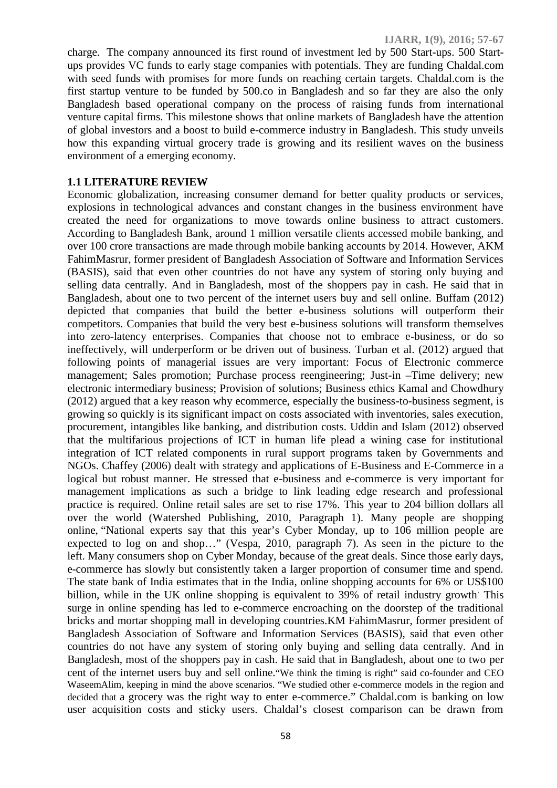charge. The company announced its first round of investment led by 500 Start-ups. 500 Start ups provides VC funds to early stage companies with potentials. They are funding Chaldal.com with seed funds with promises for more funds on reaching certain targets. Chaldal.com is the first startup venture to be funded by 500.co in Bangladesh and so far they are also the only Bangladesh based operational company on the process of raising funds from international venture capital firms. This milestone shows that online markets of Bangladesh have the attention of global investors and a boost to build e-commerce industry in Bangladesh. This study unveils how this expanding virtual grocery trade is growing and its resilient waves on the business environment of a emerging economy.

#### **1.1 LITERATURE REVIEW**

Economic globalization, increasing consumer demand for better quality products or services, explosions in technological advances and constant changes in the business environment have created the need for organizations to move towards online business to attract customers. According to Bangladesh Bank, around 1 million versatile clients accessed mobile banking, and over 100 crore transactions are made through mobile banking accounts by 2014. However, AKM FahimMasrur, former president of Bangladesh Association of Software and Information Services (BASIS), said that even other countries do not have any system of storing only buying and selling data centrally. And in Bangladesh, most of the shoppers pay in cash. He said that in Bangladesh, about one to two percent of the internet users buy and sell online. Buffam (2012) depicted that companies that build the better e-business solutions will outperform their competitors. Companies that build the very best e-business solutions will transform themselves into zero-latency enterprises. Companies that choose not to embrace e-business, or do so ineffectively, will underperform or be driven out of business. Turban et al. (2012) argued that following points of managerial issues are very important: Focus of Electronic commerce management; Sales promotion; Purchase process reengineering; Just-in –Time delivery; new electronic intermediary business; Provision of solutions; Business ethics Kamal and Chowdhury (2012) argued that a key reason why ecommerce, especially the business-to-business segment, is growing so quickly is its significant impact on costs associated with inventories, sales execution, procurement, intangibles like banking, and distribution costs. Uddin and Islam (2012) observed that the multifarious projections of ICT in human life plead a wining case for institutional integration of ICT related components in rural support programs taken by Governments and NGOs. Chaffey (2006) dealt with strategy and applications of E-Business and E-Commerce in a logical but robust manner. He stressed that e-business and e-commerce is very important for management implications as such a bridge to link leading edge research and professional practice is required. Online retail sales are set to rise 17%. This year to 204 billion dollars all over the world (Watershed Publishing, 2010, Paragraph 1). Many people are shopping online, "National experts say that this year's Cyber Monday, up to 106 million people are expected to log on and shop…" (Vespa, 2010, paragraph 7). As seen in the picture to the left. Many consumers shop on Cyber Monday, because of the great deals. Since those early days, e-commerce has slowly but consistently taken a larger proportion of consumer time and spend. The state bank of India estimates that in the India, online shopping accounts for 6% or US\$100 billion, while in the UK online shopping is equivalent to 39% of retail industry growth. This surge in online spending has led to e-commerce encroaching on the doorstep of the traditional bricks and mortar shopping mall in developing countries.KM FahimMasrur, former president of Bangladesh Association of Software and Information Services (BASIS), said that even other countries do not have any system of storing only buying and selling data centrally. And in Bangladesh, most of the shoppers pay in cash. He said that in Bangladesh, about one to two per cent of the internet users buy and sell online."We think the timing is right" said co-founder and CEO WaseemAlim, keeping in mind the above scenarios. "We studied other e-commerce models in the region and decided that a grocery was the right way to enter e-commerce." Chaldal.com is banking on low user acquisition costs and sticky users. Chaldal's closest comparison can be drawn from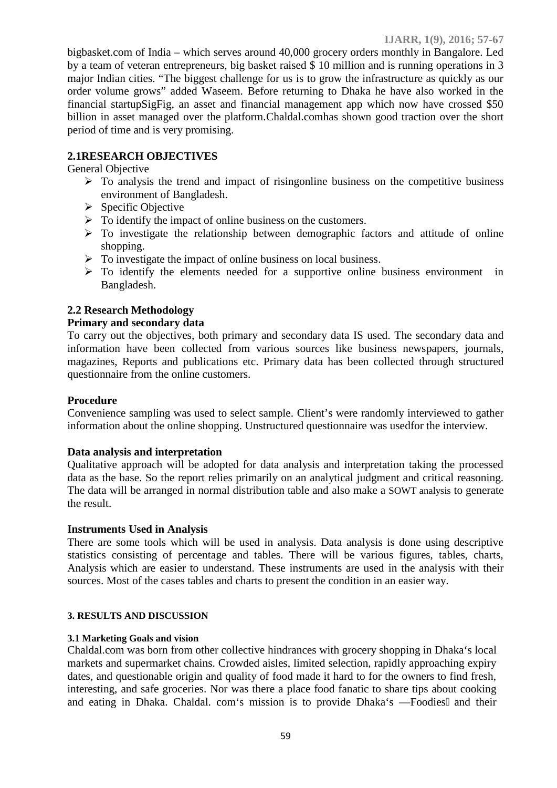bigbasket.com of India – which serves around 40,000 grocery orders monthly in Bangalore. Led by a team of veteran entrepreneurs, big basket raised \$ 10 million and is running operations in 3 major Indian cities. "The biggest challenge for us is to grow the infrastructure as quickly as our order volume grows" added Waseem. Before returning to Dhaka he have also worked in the financial startupSigFig, an asset and financial management app which now have crossed \$50 billion in asset managed over the platform.Chaldal.comhas shown good traction over the short period of time and is very promising.

## **2.1RESEARCH OBJECTIVES**

General Objective

- $\triangleright$  To analysis the trend and impact of risingonline business on the competitive business environment of Bangladesh.
- $\triangleright$  Specific Objective
- $\triangleright$  To identify the impact of online business on the customers.
- $\triangleright$  To investigate the relationship between demographic factors and attitude of online shopping.
- $\triangleright$  To investigate the impact of online business on local business.
- $\triangleright$  To identify the elements needed for a supportive online business environment in Bangladesh.

## **2.2 Research Methodology**

## **Primary and secondary data**

To carry out the objectives, both primary and secondary data IS used. The secondary data and information have been collected from various sources like business newspapers, journals, magazines, Reports and publications etc. Primary data has been collected through structured questionnaire from the online customers.

#### **Procedure**

Convenience sampling was used to select sample. Client's were randomly interviewed to gather information about the online shopping. Unstructured questionnaire was usedfor the interview.

#### **Data analysis and interpretation**

Qualitative approach will be adopted for data analysis and interpretation taking the processed data as the base. So the report relies primarily on an analytical judgment and critical reasoning. The data will be arranged in normal distribution table and also make a SOWT analysis to generate the result.

#### **Instruments Used in Analysis**

There are some tools which will be used in analysis. Data analysis is done using descriptive statistics consisting of percentage and tables. There will be various figures, tables, charts, Analysis which are easier to understand. These instruments are used in the analysis with their sources. Most of the cases tables and charts to present the condition in an easier way.

#### **3. RESULTS AND DISCUSSION**

#### **3.1 Marketing Goals and vision**

Chaldal.com was born from other collective hindrances with grocery shopping in Dhaka's local markets and supermarket chains. Crowded aisles, limited selection, rapidly approaching expiry dates, and questionable origin and quality of food made it hard to for the owners to find fresh, interesting, and safe groceries. Nor was there a place food fanatic to share tips about cooking and eating in Dhaka. Chaldal. com's mission is to provide Dhaka's – Foodies and their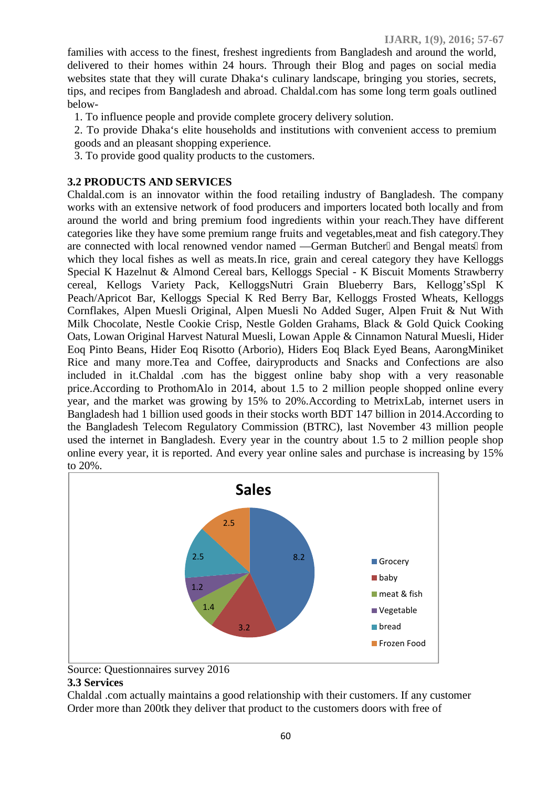families with access to the finest, freshest ingredients from Bangladesh and around the world, delivered to their homes within 24 hours. Through their Blog and pages on social media websites state that they will curate Dhaka's culinary landscape, bringing you stories, secrets, tips, and recipes from Bangladesh and abroad. Chaldal.com has some long term goals outlined below-

- 1. To influence people and provide complete grocery delivery solution.
- 2. To provide Dhaka's elite households and institutions with convenient access to premium goods and an pleasant shopping experience.
- 3. To provide good quality products to the customers.

## **3.2 PRODUCTS AND SERVICES**

Chaldal.com is an innovator within the food retailing industry of Bangladesh. The company works with an extensive network of food producers and importers located both locally and from around the world and bring premium food ingredients within your reach.They have different categories like they have some premium range fruits and vegetables,meat and fish category.They are connected with local renowned vendor named — German Butcher and Bengal meats from which they local fishes as well as meats. In rice, grain and cereal category they have Kelloggs Special K Hazelnut & Almond Cereal bars, Kelloggs Special - K Biscuit Moments Strawberry cereal, Kellogs Variety Pack, KelloggsNutri Grain Blueberry Bars, Kellogg'sSpl K Peach/Apricot Bar, Kelloggs Special K Red Berry Bar, Kelloggs Frosted Wheats, Kelloggs Cornflakes, Alpen Muesli Original, Alpen Muesli No Added Suger, Alpen Fruit & Nut With Milk Chocolate, Nestle Cookie Crisp, Nestle Golden Grahams, Black & Gold Quick Cooking Oats, Lowan Original Harvest Natural Muesli, Lowan Apple & Cinnamon Natural Muesli, Hider Eoq Pinto Beans, Hider Eoq Risotto (Arborio), Hiders Eoq Black Eyed Beans, AarongMiniket Rice and many more.Tea and Coffee, dairyproducts and Snacks and Confections are also included in it.Chaldal .com has the biggest online baby shop with a very reasonable price.According to ProthomAlo in 2014, about 1.5 to 2 million people shopped online every year, and the market was growing by 15% to 20%.According to MetrixLab, internet users in Bangladesh had 1 billion used goods in their stocks worth BDT 147 billion in 2014.According to the Bangladesh Telecom Regulatory Commission (BTRC), last November 43 million people used the internet in Bangladesh. Every year in the country about 1.5 to 2 million people shop online every year, it is reported. And every year online sales and purchase is increasing by 15% to 20%.



Source: Questionnaires survey 2016

## **3.3 Services**

Chaldal .com actually maintains a good relationship with their customers. If any customer Order more than 200tk they deliver that product to the customers doors with free of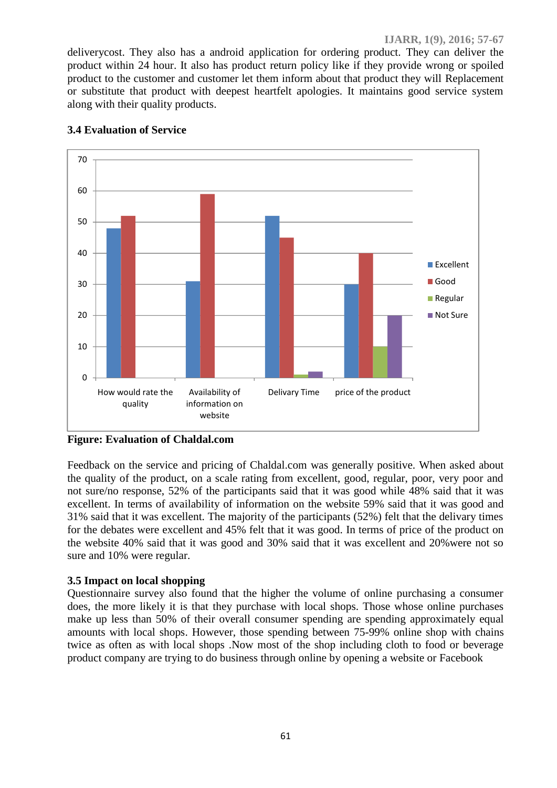deliverycost. They also has a android application for ordering product. They can deliver the product within 24 hour. It also has product return policy like if they provide wrong or spoiled product to the customer and customer let them inform about that product they will Replacement or substitute that product with deepest heartfelt apologies. It maintains good service system along with their quality products.



## **3.4 Evaluation of Service**

**Figure: Evaluation of Chaldal.com**

Feedback on the service and pricing of Chaldal.com was generally positive. When asked about the quality of the product, on a scale rating from excellent, good, regular, poor, very poor and not sure/no response, 52% of the participants said that it was good while 48% said that it was excellent. In terms of availability of information on the website 59% said that it was good and 31% said that it was excellent. The majority of the participants (52%) felt that the delivary times for the debates were excellent and 45% felt that it was good. In terms of price of the product on the website 40% said that it was good and 30% said that it was excellent and 20%were not so sure and 10% were regular.

## **3.5 Impact on local shopping**

Questionnaire survey also found that the higher the volume of online purchasing a consumer does, the more likely it is that they purchase with local shops. Those whose online purchases make up less than 50% of their overall consumer spending are spending approximately equal amounts with local shops. However, those spending between 75-99% online shop with chains twice as often as with local shops .Now most of the shop including cloth to food or beverage product company are trying to do business through online by opening a website or Facebook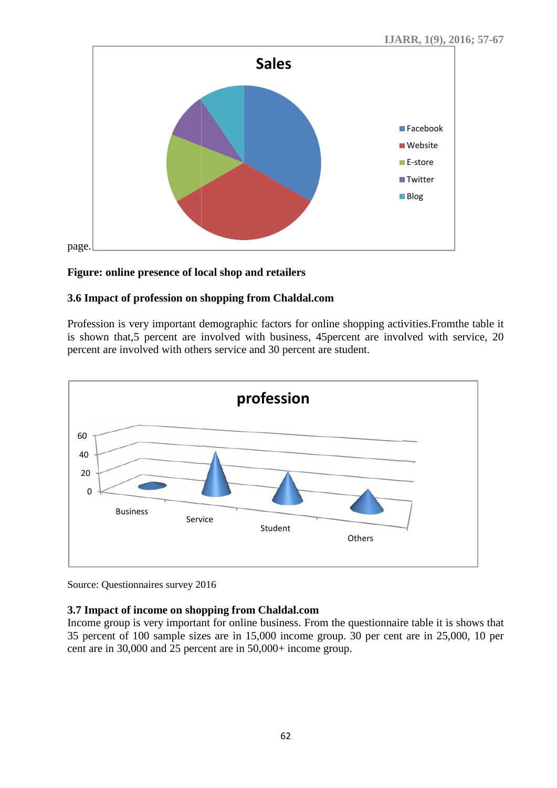

## **Figure: online presence of local shop and retailers**

# **3.6 Impact of profession on shopping from Chaldal.com**

Profession is very important demographic factors for online shopping activities.Fromthe table it Profession is very important demographic factors for online shopping activities. From the table it is shown that,5 percent are involved with business, 45 percent are involved with service, 20 percent are involved with others service and 30 percent are student.



Source: Questionnaires survey 2016 Source: Questionnaires

## **3.7 Impact of income on shopping from Chaldal.com**

Income group is very important for online business. From the questionnaire table it is shows that 35 percent of 100 sample sizes are in 15,000 income group. 30 per cent are in 25,000, 10 per cent are in 30,000 and 25 percent are in 50,000+ income group.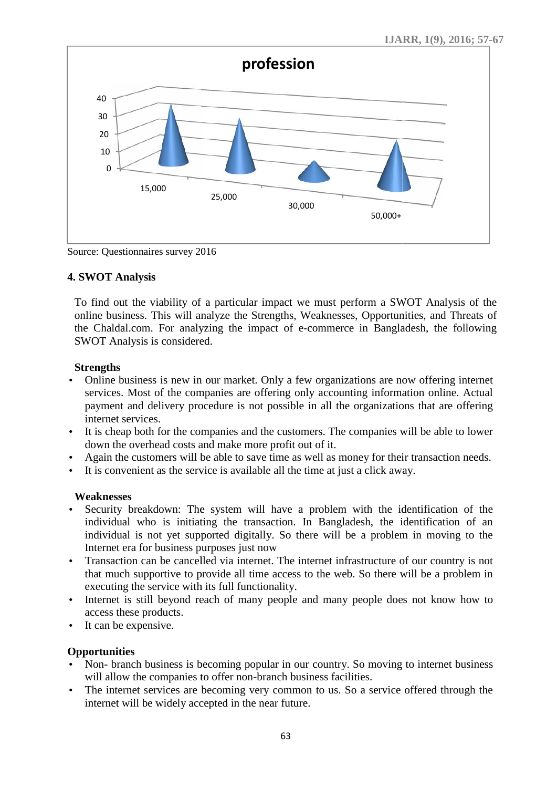

Source: Questionnaires survey 2016 Source: Questionnaires

## **4. SWOT Analysis Analysis**

To find out the viability of a particular impact we must perform a SWOT Analysis of the To find out the viability of a particular impact we must perform a SWOT Analysis of the online business. This will analyze the Strengths, Weaknesses, Opportunities, and Threats of the Chaldal.com. For analyzing the impact of e-commerce in Bangladesh, the following<br>
SWOT Analysis is considered.<br> **Strengths**<br>
Online business is new in our market. Only a few organizations are now offering internet SWOT Analysis is considered.

## **Strengths**

- Online business is new in our market. Only a few organizations are now offering internet services. Most of the companies are offering only accounting information online. Actual payment and delivery procedure is not possible in all the organizations that are offering internet services. 25,000<br>
30,000<br>
19,000+<br>
25,000+<br>
NOT Analysis<br>
NorT Analysis<br>
In the business. This will analyze the Strengths, Weaknesses, Opportunities, and Threats<br>
of the So Chaldal.com. For analyzing the impact of e-commerce in Ban Online business is new in our market. Only a few organizations are now offering is services. Most of the companies are offering only accounting information online.<br>payment and delivery procedure is not possible in all the
- It is cheap both for the companies and the customers. The companies will be able to lower down the overhead costs and make more profit out of it. down the overhead costs and make more profit out of it.
- Again the customers will be able to save time as well as money for their transaction needs.
- It is convenient as the service is available all the time at just a click away.

## **Weaknesses**

- Security breakdown: The system will have a problem with the identification of the individual who is initiating the transaction. In Bangladesh, the identification of an individual is not yet supported digitally. So there will be a problem in moving to the Internet era for business purposes just now able to save time as well as money for their transaction<br>re is available all the time at just a click away.<br>system will have a problem with the identification<br>g the transaction. In Bangladesh, the identification<br>prted digi
- Transaction can be cancelled via internet. The internet infrastructure of our country is not that much supportive to provide all time access to the web. So there will be a problem in executing the service with its full functionality.
- Internet is still beyond reach of many people and many people does not know how to access these products.
- It can be expensive.

## **Opportunities**

- Non- branch business is becoming popular in our country. So moving to internet business will allow the companies to offer non-branch business facilities.
- The internet services are becoming very common to us. So a service offered through the internet will be widely accepted in the near future.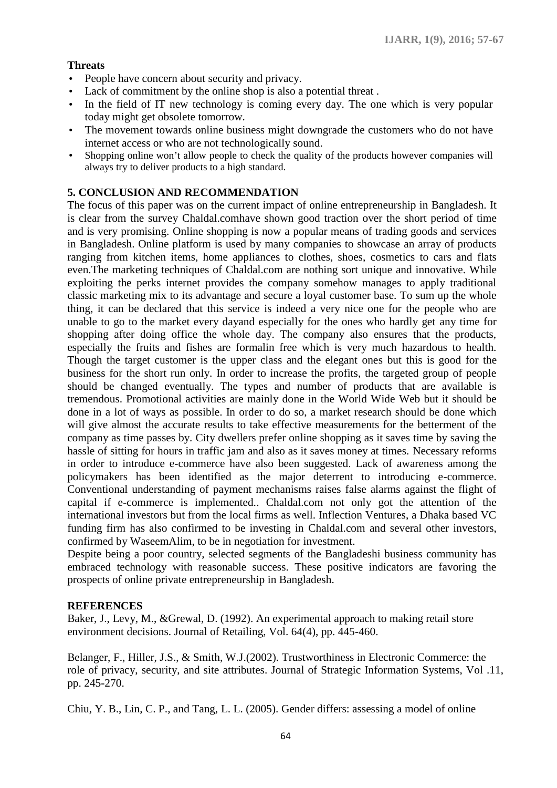## **Threats**

- People have concern about security and privacy.
- Lack of commitment by the online shop is also a potential threat .
- In the field of IT new technology is coming every day. The one which is very popular today might get obsolete tomorrow.
- The movement towards online business might downgrade the customers who do not have internet access or who are not technologically sound.
- Shopping online won't allow people to check the quality of the products however companies will always try to deliver products to a high standard.

#### **5. CONCLUSION AND RECOMMENDATION**

The focus of this paper was on the current impact of online entrepreneurship in Bangladesh. It is clear from the survey Chaldal.comhave shown good traction over the short period of time and is very promising. Online shopping is now a popular means of trading goods and services in Bangladesh. Online platform is used by many companies to showcase an array of products ranging from kitchen items, home appliances to clothes, shoes, cosmetics to cars and flats even.The marketing techniques of Chaldal.com are nothing sort unique and innovative. While exploiting the perks internet provides the company somehow manages to apply traditional classic marketing mix to its advantage and secure a loyal customer base. To sum up the whole thing, it can be declared that this service is indeed a very nice one for the people who are unable to go to the market every dayand especially for the ones who hardly get any time for shopping after doing office the whole day. The company also ensures that the products, especially the fruits and fishes are formalin free which is very much hazardous to health. Though the target customer is the upper class and the elegant ones but this is good for the business for the short run only. In order to increase the profits, the targeted group of people should be changed eventually. The types and number of products that are available is tremendous. Promotional activities are mainly done in the World Wide Web but it should be done in a lot of ways as possible. In order to do so, a market research should be done which will give almost the accurate results to take effective measurements for the betterment of the company as time passes by. City dwellers prefer online shopping as it saves time by saving the hassle of sitting for hours in traffic jam and also as it saves money at times. Necessary reforms in order to introduce e-commerce have also been suggested. Lack of awareness among the policymakers has been identified as the major deterrent to introducing e-commerce. Conventional understanding of payment mechanisms raises false alarms against the flight of capital if e-commerce is implemented.. Chaldal.com not only got the attention of the international investors but from the local firms as well. Inflection Ventures, a Dhaka based VC funding firm has also confirmed to be investing in Chaldal.com and several other investors, confirmed by WaseemAlim, to be in negotiation for investment.

Despite being a poor country, selected segments of the Bangladeshi business community has embraced technology with reasonable success. These positive indicators are favoring the prospects of online private entrepreneurship in Bangladesh.

#### **REFERENCES**

Baker, J., Levy, M., &Grewal, D. (1992). An experimental approach to making retail store environment decisions. Journal of Retailing, Vol. 64(4), pp. 445-460.

Belanger, F., Hiller, J.S., & Smith, W.J.(2002). Trustworthiness in Electronic Commerce: the role of privacy, security, and site attributes. Journal of Strategic Information Systems, Vol .11, pp. 245-270.

Chiu, Y. B., Lin, C. P., and Tang, L. L. (2005). Gender differs: assessing a model of online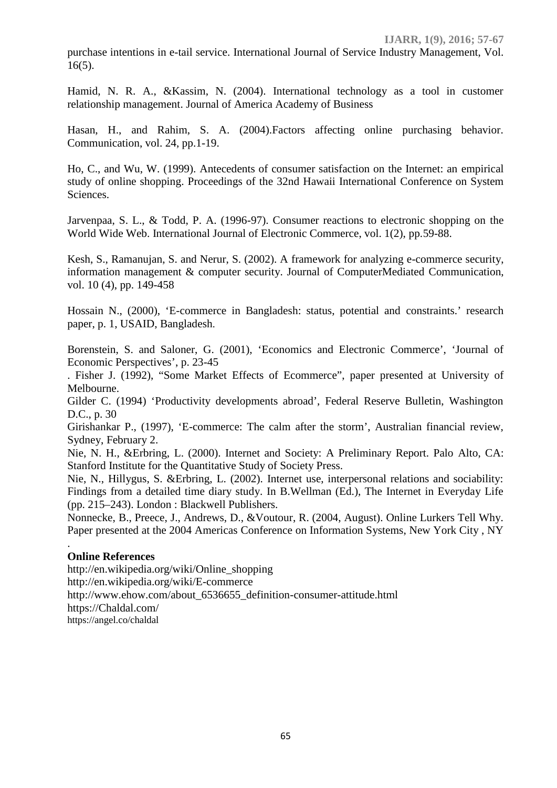purchase intentions in e-tail service. International Journal of Service Industry Management, Vol. 16(5).

Hamid, N. R. A., &Kassim, N. (2004). International technology as a tool in customer relationship management. Journal of America Academy of Business

Hasan, H., and Rahim, S. A. (2004).Factors affecting online purchasing behavior. Communication, vol. 24, pp.1-19.

Ho, C., and Wu, W. (1999). Antecedents of consumer satisfaction on the Internet: an empirical study of online shopping. Proceedings of the 32nd Hawaii International Conference on System Sciences.

Jarvenpaa, S. L., & Todd, P. A. (1996-97). Consumer reactions to electronic shopping on the World Wide Web. International Journal of Electronic Commerce, vol. 1(2), pp.59-88.

Kesh, S., Ramanujan, S. and Nerur, S. (2002). A framework for analyzing e-commerce security, information management & computer security. Journal of ComputerMediated Communication, vol. 10 (4), pp. 149-458

Hossain N., (2000), 'E-commerce in Bangladesh: status, potential and constraints.' research paper, p. 1, USAID, Bangladesh.

Borenstein, S. and Saloner, G. (2001), 'Economics and Electronic Commerce', 'Journal of Economic Perspectives', p. 23-45

. Fisher J. (1992), "Some Market Effects of Ecommerce", paper presented at University of Melbourne.

Gilder C. (1994) 'Productivity developments abroad', Federal Reserve Bulletin, Washington D.C., p. 30

Girishankar P., (1997), 'E-commerce: The calm after the storm', Australian financial review, Sydney, February 2.

Nie, N. H., &Erbring, L. (2000). Internet and Society: A Preliminary Report. Palo Alto, CA: Stanford Institute for the Quantitative Study of Society Press.

Nie, N., Hillygus, S. &Erbring, L. (2002). Internet use, interpersonal relations and sociability: Findings from a detailed time diary study. In B.Wellman (Ed.), The Internet in Everyday Life (pp. 215–243). London : Blackwell Publishers.

Nonnecke, B., Preece, J., Andrews, D., &Voutour, R. (2004, August). Online Lurkers Tell Why. Paper presented at the 2004 Americas Conference on Information Systems, New York City , NY

## **Online References**

.

http://en.wikipedia.org/wiki/Online\_shopping http://en.wikipedia.org/wiki/E-commerce http://www.ehow.com/about\_6536655\_definition-consumer-attitude.html https://Chaldal.com/ https://angel.co/chaldal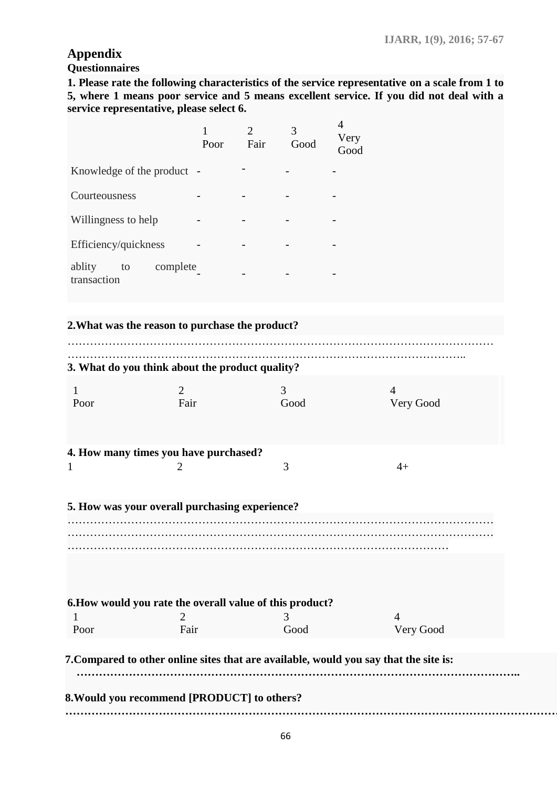## **Appendix**

## **Questionnaires**

**1. Please rate the following characteristics of the service representative on a scale from 1 to 5, where 1 means poor service and 5 means excellent service. If you did not deal with a service representative, please select 6.**

|                                                          | Poor | $\overline{2}$<br>Fair | 3<br>$\operatorname{Good}$ | 4<br>Very<br>Good                                                                     |
|----------------------------------------------------------|------|------------------------|----------------------------|---------------------------------------------------------------------------------------|
| Knowledge of the product -                               |      |                        |                            |                                                                                       |
| Courteousness                                            |      |                        |                            |                                                                                       |
| Willingness to help                                      |      |                        |                            |                                                                                       |
| Efficiency/quickness                                     |      |                        |                            |                                                                                       |
| ablity<br>complete<br>to<br>transaction                  |      |                        |                            |                                                                                       |
| 2. What was the reason to purchase the product?          |      |                        |                            |                                                                                       |
|                                                          |      |                        |                            |                                                                                       |
| 3. What do you think about the product quality?          |      |                        |                            |                                                                                       |
| $\overline{2}$<br>$\mathbf{1}$<br>Poor                   | Fair |                        | 3<br>Good                  | $\overline{4}$<br>Very Good                                                           |
| 4. How many times you have purchased?                    |      |                        |                            |                                                                                       |
| 2<br>$\mathbf{1}$                                        |      |                        | 3                          | $4+$                                                                                  |
| 5. How was your overall purchasing experience?           |      |                        |                            |                                                                                       |
|                                                          |      |                        |                            |                                                                                       |
|                                                          |      |                        |                            |                                                                                       |
| 6. How would you rate the overall value of this product? |      |                        |                            |                                                                                       |
| 2                                                        |      |                        | 3                          | 4                                                                                     |
| Poor                                                     | Fair |                        | Good                       | Very Good                                                                             |
|                                                          |      |                        |                            | 7. Compared to other online sites that are available, would you say that the site is: |
| 8. Would you recommend [PRODUCT] to others?              |      |                        |                            |                                                                                       |
|                                                          |      |                        |                            |                                                                                       |